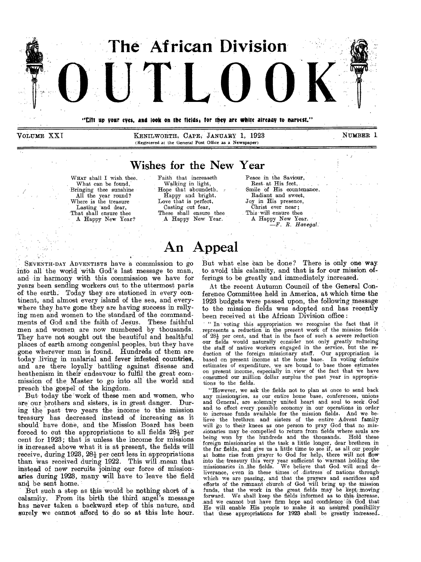

VOLUME XXI KENILWORTH, CAPE; JANUARY 1, 1923 NUMBER 1 (Registered at the General Post Office as a Newspaper)

# Wishes for the New Year

WHAT shall I wish thee. What can be found, Bringing thee sunshine All the year round? Where is the treasure Lasting and dear, That shall ensure thee A Happy New Year?

Faith that increaseth Walking in light, Hope that aboundeth, Happy and bright, Love that is perfect, Casting out fear, These shall ensure thee A Happy New Year.

Peace in the Saviour, Rest at His feet, Smile of His countenance, Radiant and sweet, Joy in His presence, Christ ever near;<br>This will ensure thee A Happy New Year. *—F. R. Havegal.* 

#### **An Appeal**

SEVENTH-DAY ADVENTISTS have a commission to go into all the world with God's last message to man, and in harmony with this commission we have for years been sending workers out to the uttermost parts of the earth. Today they are stationed in every continent, and almost every island of the sea, and everywhere they have gone they are having success in rallying men and women to the standard of the commandments of God and the faith of Jesus. These faithful men and women, are now numbered by thousands. They have not sought out the beautiful and healthful places of earth among congenial peoples, but they have gone wherever man is found. Hundreds of them are today living in malarial and fever infested countries, and are there loyally battling against disease and heathenism in their endeavour to fulfil the great commission of the Master to go into all the world and preach the gospel' of the kingdom.

But today the 'work of these men and women, who are our brothers and sisters, is in great danger. During the past two years the income to the mission treasury has decreased instead of increasing as, it should have done, and the Mission Board has been forced to cut the appropriations to all fields  $28\frac{1}{2}$  per cent for 1923; that is unless the income for missions is increased above what it is at present, the fields will receive, during  $1923$ ,  $28\frac{1}{2}$  per cent less in appropriations than was received during 1922. This will mean that instead of new recruits joining our force Of missionaries during 1923, many will have to leave the field and be sent home.

But such a step as this would be nothing short of a calamity. From its birth the third angel's message has never taken a backward step of this nature, and surely we cannot afford to do so at this late hour. But what else can be done? There is only one way to avoid this calamity, and that is for our mission offerings to be greatly and immediately increased.

At the recent Autumn Council of the General Conference Committee held in America, at which time the 1923 budgets were passed upon, the following message to the mission fields was adopted and has recently been received at the African Division office :

" In' voting this appropriation we recognise the fact that it represents a reduction in the present work of the mission fields of 28<sup>1</sup>/<sub>28</sub> per cent, and that in the face of such a severe reduction our fields would naturally consider not only greatly reducing the staff of native workers engaged in the service, but the reduction of the foreign missionary staff. Our appropriation is based on present income at the home base. In voting definite estimates of expenditure, we are bound to base those estimates on present income, especially in view of the fact that we have consumed our million dollar surplus the past year in appropriations to the fields.

"However, we ask the fields not to plan at once to send back any missionaries, as our entire home base, conferences, unions and General, are solemnly united heart and soul to seek God and to effect every possible economy in our operations in order to increase funds available for the mission fields. And we believe the brethren and sisters of the entire Advent family will go to their knees as one person to pray God that no missionaries may be compelled to return from fields where souls are being won by the hundreds and the thousands. Hold these foreign missionaries at the task a little longer, dear brethren in the far fields, and give us a little time to see if, as all our peopleat home rise from prayer to God for help, there will not flow into the treasury this very year sufficient to warrant holding the missionaries in the fields. We believe that God will send deliverance, even in these times of distress of nations through which we are passing, and that the prayers and sacrifices and efforts of the remnant church of God will bring up the mission funds, that the work in the great fields may be kept moving forward. We shall keep the fields informed as to this increase, and we cannot but have firm hope and confidence in God that He will enable His people to make it an assured possibility that these appropriations for 1923 shall be greatly increased.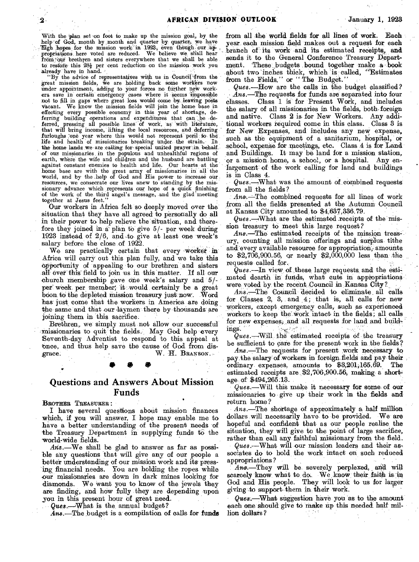With the plan set 'on foot to make up the mission goal, by the help of God, month by month and quarter by quarter, we have have though hopes for the mission work in 1923, even though our appropriations, here voted are reduced. We believe we shall hear from our brethren and sisters everywhere that we shall be able to restore this  $28\frac{1}{2}$  per cent reduction on the mission work you already have in hand.

"By the advice of representatives with us in Council' rom the great mission fields, we are holding back sonde workers now under appointment, adding to your forces no further new workers save in certain emergency cases where it seems impossible not to fill in gaps where great loss would come by leaving posts Vacant. We know the mission fields will join the home base in effecting every possible economy in this year of shortage, deferring building operations and expenditures that can be deferred, pressing all possible lines of work, as with literature, that will bring income, lifting the local resources, and deferring furloughs one year where this would not represent peril to the life and health of missionaries breaking under the strain. In the home lands we are calling for special united prayer in behalf *of* our missionaries, in the populous and unhealthful regions of earth, where the wife and children and the husband are battling against constant enemies to health and life. Our hearts at the home base are with the great army of missionaries in all the world, and by the .help of God and His power to increase our resources, we consecrate our lives anew to standing by the mis: sionary advance which represents our hope of a quick finishing of the work of the, third angel's message, .and the glad meeting together at Jesus feet.

Our workers in Africa felt so deeply moved over the situation that they have all agreed to personally do all in their power to help relieve the situation, and therefore they joined in a plan to give  $5/$ - per week during 1923 instead of 2/6, and -to give at least one week's salary before the close of 1922.

**We** are practically certain that every worker *in*  Africa will carry out this plan fully, and we take this Opportunity of appealing to our brethren and sisters all over' this" field to join us in this matter. If all our church membership gave one week's salary and 5/ per week per member; it would certainly be a great boon to the depleted mission treasury just now. Word has just come that the workers in America are doing the same and that our laymen there by thousands are joining them in this sacrifice:

Brethren, we simply must not allow our successful missionaries to quit, the fields. May God help every Seventh-day Adventist to respond to this appeal at bnce, and thus help save the cause of God from disgrace. W. H. BRANSON. • 0 0

# **Questions and Answers About Mission Funds**

**BROTHER TREASURER :** 

**I** have several questions about mission finances which, if you will answer, I hope may enable me to have a better understanding of the present needs of the Treasury Department in supplying funds to the -world-wide fields.

*Alts.—We* shall be glad to answer as far as possible any questions 'that will, give any of our people a better understanding of our mission work and its pressing financial needs. You are holding the ropes while our missionaries are down in dark mines looking for diamonds. We want you to know of the jewels they are finding, and how fully they are depending upon you in this present hour of great need.

 $Ques$ . What is the annual budget?

Ans.—The budget is a compilation of calls for **funds** 

from all the world fields for all lines of work. Each year each mission field makes out a request for each branch of its work and its estimated receipts, and sends it to the General Conference Treasury Department. These budgets bound together make a book about two inches thick, which is called, "Estimates from the Fields," or "The Budget."

*Ques.*—How are the calls in the budget classified? Ans.—The requests for funds are separated into four classes. Class 1 is for Present Work, and includes the salary of all missionaries in the fields, both- foreign and native. Class 2 is for New Workers. Any additional workers required come in this class. Class 3 is for New Expenses, and includes any new expense, such as the equipment of a sanitarium, hospital, or school, expense for meetings, etc. Class 4 is for Land and Buildings. It may be land for a mission station, or a mission home, a school, or a hospital. Any enlargement of the work calling for land and buildings is in Class 4.

 $Ques$ . What was the amount of combined requests from all the fields?

 $Ans.$ —The combined requests for all lines of work from all the fields presented at the Autumn Council at Kanaas. City amounted to \$4,687,336.79.

 $Ques$ . What are the estimated receipts of the mission treasury to meet this large request?

Ans.--The estimated receipts of the mission treasury, counting all mission offerings and surplus tithe and every available resource for appropriation, amounts to \$2,706,900.56, Or nearly \$2,000,000 less than the requests called for.

*Ques.*—In view of these large requests and the estimated dearth in funds, what cuts in appropriations were voted by the recent Council in Kansas City?

Ans.—The Council decided to eliminate all calls for Classes 2, 3, and 4; that is, all calls for new workers, except emergency calls, such as experienced workers to keep the work intact in the fields; all calls for new expenses, and all requests for land and buildings.

 $Ques$ . Will the estimated receipts of the treasury be sufficient to care for the present work in the fields?

Ans.—The requests for present work necessary to pay.the salary:of workers in foreign, fields and pay their ordinary expenses, amounts to  $$3,201,165.69$ . The estimated receipts are  $$2,706,900.56$ , making a shortage of  $$494,265.13$ .

*Ques.—Will* this make it necessary for some, of our missionaries to give up their work in the fields and. return home?

Ans.—The shortage of approximately a, half million dollars will necessarily have to be provided. We are hopeful and confident that as our people realise the situation, they will give to the point of large sacrifice, rather than call any faithful missionary from the field.

*Ques.—What* will our mission leaders and their as, sociates do to hold the work intact on such reduced appropriations?

Ans.—They will be severely perplexed, and will scarcely know what to do. We know their faith is in God and His people. They will look to us for larger giving.'to support-them in, their work.

Quea.—What suggestion have: you 'as to the amount each one should give to make up this needed half million dollars ?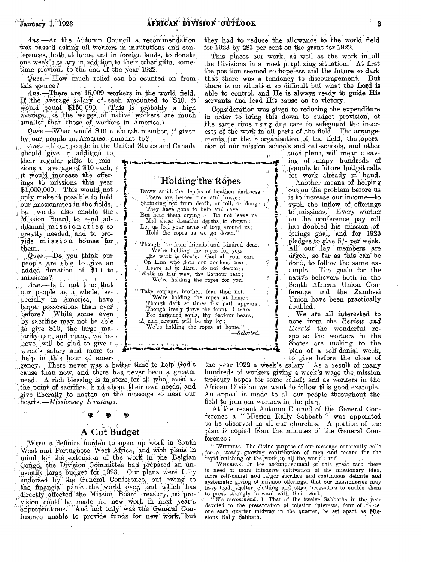Ans.-At the Autumn Council a recommendation was passed asking all workers in institutions and conferences, both at home and in foreign lands, to donate one week's salary in addition to their other gifts, sometime previous to the end of the year 1922.

Ques.—How much relief can be counted on from this source?

Ans.-There are 15,009 workers in the world field. If the average salary of each amounted to \$10, it would equal \$150,090. (This is probably a high would equal \$150,090. (This is probably a high average, as the wages of native workers are much smaller than those of workers in America.)

Oues.-What would \$10 a church member, if given. by our people in America, amount to?

Ans. If our people in the United States and Canada<br>should give in addition to

their regular gifts to missions an average of \$10 each, it would increase the offerings to missions this year  $$1,000,000$ . This would not. only make it possible to hold our missionaries in the fields,. but would also enable the. Mission Board to send additional missionaries so greatly needed, and to provide mission homes for them.

Ques - Do you think our people are able to give an added donation of \$10 to. missions?

 $Ans.$  Is it not true that our people as a whole, especially in America, have larger possessions than ever before? While some even by sacrifice may not be able to give \$10, the large majority can, and many, we believe, will be glad to give a week's salary and more to help in this hour of emer-

gency. There never was a better time to help God's cause than now, and there has never been a greater need. A rich blessing is in store for all who, even at the point of sacrifice, bind about their own needs, and give liberally to hasten on the message so near our hearts. *Missionary Readings.* 

# A Cut Budget

 $\mathfrak{g}$ 

WITH a definite burden to open up work in South West and Portuguese West Africa, and with plans in mind for the extension of the work in the Belgian Congo, the Division Committee had prepared an university large budget for 1923. Our plans were fully endorsed by the General Conference, but owing to the financial panic the world over, and which has directly affected the vision could be made for new work in next year's appropriations. And not only was the General Conference unable to provide funds for new work" but

they had to reduce the allowance to the world field for  $1923$  by  $28\frac{1}{2}$  per cent on the grant for 1922.

This places our work, as well as the work in all the Divisions in a most perplexing situation. At first the position seemed so hopeless and the future so dark that there was a tendency to discouragement. But there is no situation so difficult but what the Lord is able to control, and He is always ready to guide His servants and lead His cause on to victory.

Consideration was given to reducing the expenditure in order to bring this down to budget provision, at the same time using due care to safeguard the interests of the work in all parts of the field. The arrangements for the reorganisation of the field, the operation of our mission schools and out-schools, and other

 $\mathbf{r}$ 

 $\frac{1}{2}$ 

such plans, will mean a saving of many hundreds of pounds to future budget calls for work already in hand. Another means of helping out on the problem before us is to increase our income-to swell the inflow of offerings to missions. Every worker on the conference pay roll has doubled his mission offerings goal, and for 1923 pledges to give 5/- per week. All our lay members are urged, so far as this can be done, to follow the same example. The goals for the native believers both in the South African Union Conference and the Zambesi Union have been practically  $\text{doubled.}$ 

We are all interested to note from the Review and Herald the wonderful response the workers in the States are making to the plan of a self-denial week, to give before the close of

the year 1922 a week's salary. As a result of many hundreds of workers giving a week's wage the mission treasury hopes for some relief; and as workers in the African Division we want to follow this good example. An appeal is made to all our people throughout the

field to join our workers in the plan.<br>At the recent Autumn Council of the General Conference a "Mission Rally Sabbath" was appointed<br>to be observed in all our churches. A portion of the<br>plan is copied from the minutes of  $\tilde{\text{ference}}$  :

" WHEREAS, The divine purpose of our message constantly calls for a steady growing contribution of men and means for the rapid finishing of the work in all the world; and<br>"WHEREAS, In the accomplishment of this great task there

is need of more intensive cultivation of the missionary idea, more self-denial and larger sacrifice and continuous definite and systematic giving of mission offerings, that our missionaries may

systematic group of mission of mission are flux to enable them<br>there food, shelter, clothing and other necessities to enable them<br>to press strongly forward with their work,<br>"We recommend, 1. That of the twelve Sabbaths in one each quarter midway in the quarter, be set apart as Missions Rally Sabbath.

# Holding the Ropes Down amid the depths of heathen darkness,

There are heroes true and brave; Shrinking not from death, or toil, or danger;<br>They have gone to help and save.<br>But hear them crying : "Do not leave us<br>Mid these dreadful depths to drown; Let us feel your arms of love around us; Hold the ropes as we go down.

"Though far from friends and kindred dear,<br>We're holding the ropes for you.<br>The work is God's. Cast all your care On Him who doth our burdens bear; Leave all  $\mathfrak{t}_0$ . Him; do not despair; Walk in His way, thy Saviour fear;<br>We're holding the ropes for you.

Take courage. brother, fear thou not,<br>We're holding the ropes at home;<br>Though dark at times thy path appears; Though freely flows the fount of tears For darkened souls, thy Saviour hears; A rich reward will be thy lot: We're holding the ropes at home."  $-Selected.$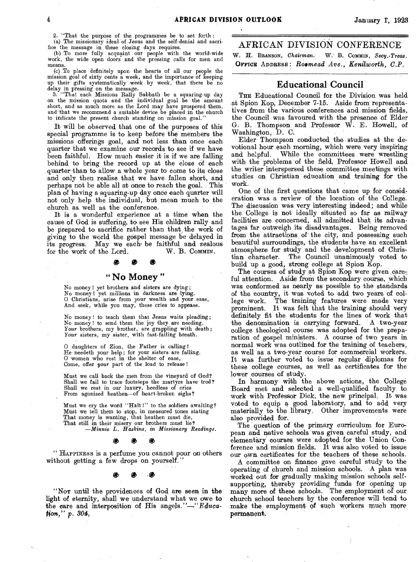2. "That the purpose of the programmes be to set forth : (a) The missionary ideal of Jesus and the self-denial and sacri-fice the message in these closing days requires.

(b) To more fully acquaint our people with the world-wide work, the wide open doors and the pressing calls for men and means.

(c) To place definitely upon the hearts of all our people the mission goal of sixty cents a week, and the importance of keeping up their gifts systematically- week by week, that there be no

delay in pressing on the message.<br>
• 3. "That each Missions Rally Sabbath be a squaring-up day<br>
on the mission quota and the individual goal be the amount<br>
short, and as much more as the Lord may have prospered them, and'that we recommend a suitable device be placed in the church to indicate the present church standing on mission goal.

It will be observed that one of the purposes of this special programme is to keep before the members the missions offerings goal, and not less than once each quarter that we examine our records to see if we have been faithful. How much easier it is if we are falling behind to bring the record up at the close of each quarter than to allow a whole year to come to its close and only then realise that we have fallen short, and perhaps not be able all at once to reach, the goal. This plan of having a squaring-up day once each quarter will not only help the individual, but mean much to the church as. well as the conference.

It is a wonderful experience at a time when the cause of God is suffering, to see His children rally and be prepared to sacrifice rather than that the work of giving to the world the gospel message he delayed in its progress. May we each be faithful and zealous for the work of the Lord. W. B. COMMIN. for the work of the Lord. iord.<br>**ම ම ම** 

## **" No Money "**

No money I yet brothers and sisters are dying ; No money ! yet millions in darkness are lying. O Christians, arise from your wealth and your ease, And seek, while you may, these cries to appease.

No money ! to teach them that Jesus waits pleading ; No money ! to send them the joy they are needing. Your brothers, my brother, are grappling with death ; Your sisters, my sister, with fast-failing breath.

O daughters of Zion, the Father is calling 1 He needeth your help; for your sisters are falling. O women who rest in the shelter of ease, Come, offer *your* part of the load to release !

Must we call back the men from the vineyard of God? Shall we fail to trace footsteps the martyrs have trod? Shall we rest in our luxury, heedless of cries From agonised heathen—of heart-broken sighs?

Must we cry the word "Halt !" to the soldiers awaiting? Must' we tell them to stop, in measured tones stating That money is wanting, that heathen must die, That still in their misery our brothers must lie?

*—Minnie L. Haskins, in Missionary Readings. 0 0* 

" RAPPINES S is a perfume you cannot pour on others without getting a few drops on yourself.

"NoT until the providences of God are seen in the light of eternity, shall we understand what we owe to the care and interposition of His angels."-"Education," *p. 304,* 

AFRICAN DIVISION CONFERENCE

W. H. BRANSON, *Chairman.* W. B. COMMIN, *Secy.-Treas.*  OFFICE ADDRESS : *Roemead Ave., Kenilworth, C.P.* 

#### **Educational Council**

THE Educational Council for the Division was held at Spion Kop, December 7-15. Aside from representatives from the various conferences and mission fields, the Council was favoured with the presence of Elder G. B. Thompson and Professor W. E. Howell, of Washington, D. C.

Elder Thompson conducted the studies at the devotional hour each morning, which were very inspiring and helpful. While the committees were wrestling While the committees were wrestling with the problems of the field, Professor Howell and the writer interspersed these committee meetings with studies on Christian education and training for the work.

One of the first questions that came up for consideration was a review of the location of the College. The discussion was very interesting indeed; and while the College is not ideally situated so far as railway facilities are concerned, all admitted that its advantages far outweigh its disadvantages. Being removed from the attractions of the city, and possessing such beautiful surroundings, the students have an excellent atmosphere for study and the development of Chris-<br>tian character. The Council unanimously voted to The Council unanimously voted to build up a good, strong college at Spion Kop.

The courses of study at Spion Kop were given careful attention. Aside from the secondary course, which was conformed as nearly as possible to the standards of the country, it was voted to add two years of col-The training features were made very prominent. It was felt that the training should very definitely fit the students for the lines of work that the denomination is carrying forward. A two-year college theological course was adopted for the preparation of gospel ministers. A course of two years in normal work was outlined for the training of teachers, as well as a two-year course for commercial workers. It was further voted to issue regular diplomas for these college courses, as well as certificates for the lower courses of study.

In harmony with the above actions, the College Board met and selected a' well-qualified faculty to work with Professor Dick, the new principal. It was voted to equip a good laboratory, and to add very materially to the library. Other improvements were also provided for.

The question of the primary curriculum for European and native schools was given careful study, and elementary courses were adopted for the Union Conference and mission fields. It was also voted to issue our own certificates for the teachers of these schools.

A committee on finance gave careful study to the operating of church and mission schools. A plan was worked out for gradually making mission schools selfsupporting, thereby providing funds for opening up many more of these schools. The employment of our church school teachers by the conference will tend to make the employment of such workers much more permanent.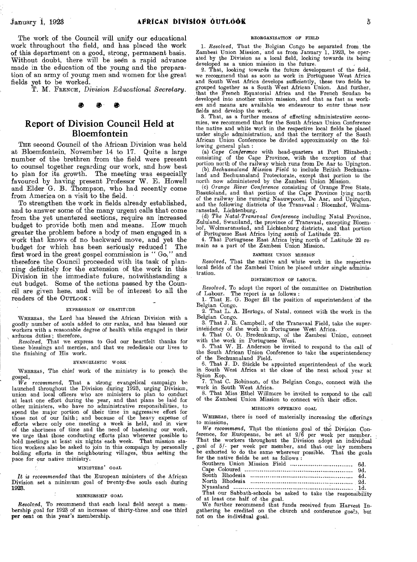The work of the Council will unify our educational work throughout the field, and has placed the work of this department on a good, strong, permanent basis. Without doubt, there will be seen a rapid advance made in the education of the young and the preparation of an army of young men and women for the great fields yet to be worked.

T. M. FRENCH, *Division Educational Secretary.* 

。<br>8 8 8

# **Report of Division Council Held at Bloemfontein**

THE second Council of the African Division was held at Bloemfontein, November 14 to 17. Quite a large number of the brethren from the field were present to counsel together regarding our work, and how best to plan for its growth. The meeting was especially favoured by having present Professor W. E. Howell and Elder G. B. Thompson, who had recently come from America on a visit to the field.

To strengthen the work in fields already established, and to answer some of the many urgent calls that come from the yet unentered sections, require an increased budget to provide both men and means. How much greater the problem before a body of men engaged in a work that knows of no backward move, and yet the budget for which has been seriously reduced! The first word in the, great gospel commission is " Go," and therefore the Council proceeded with its task of planning definitely for the extension of the work in this Division in the immediate future, notwithstanding a cut budget. Some of the actions passed by the Council are given here, and will be of interest to all the readers of the OUTLOOK :

#### EXPRESSION OF GRATITUDE

WHEREAS, the Lord has blessed the African Division with a goodly number of souls added to our ranks, and has blessed our workers with a reasonable degree of health while engaged in their arduous duties'; therefore,

*Resolved*, That we express to God our heartfelt thanks for these blessings and mercies, and that we rededicate our lives to the finishing of His work.

#### EVANGELISTIC WORK

WHEREAS, The chief work of the ministry is to preach the

gospel, *We recommend,* That a -strong evangelical campaign be launched throughout the Division during 1923, urging Division, union and local officers who are ministers to plan to conduct at least one effort during the year, and that plans be laid for other ministers, who have no administrative responsibilities, to spend the major portion of their time in aggressive effort for those not of our faith ; and because of the heavy expense of efforts where only one meeting a week is held, and in view of the shortness of time and the need of hastening our work, we urge that those conducting efforts plan wherever possible to hold meetings at least six nights' each week. That mission station workers also be asked to join in this compaign by personally holding efforts in the neighbouring villages, thus setting the pace for our native ministry.

#### MINISTERS' GOAL

*It is recommended* that the European ministers of the African Division set a minimum goal of twenty-five souls each during 1923.

#### MEMBERSHIP GOAL

*Resolved,* To recommend that each local field accept a membership goal for 1923 of an increase of thirty-three and one third per cent on this year's membership.

#### REORGANISATION OF FIELD

*1. Resolved,* That the Belgian Congo be separated from the Zambesi Union Mission, and as from January 1, 1923, be operated by the Division as a local field, looking towards its being developed as a union mission in the future.

2. That, looking towards the future development of the field, we recommend that as soon as work in Portuguese West Africa and South West Africa develops sufficiently, these two fields be grouped together as a South West African Union. And further, that the French Equatorial Africa and the French Soudan be developed into another union mission, and that as fast as workers and means are available we endeavour to enter these new fields and develop the work.

3. That, as a further means of effecting administrative econo-mies, we recommend that for the South African Union Conference the native and white work in the respective local fields be placed under single administration, and that the territory of the South African Union Conference be divided approximately on the fol-

lowing general plan : (a) *Cape Conference* with head-quarters at Port Elizabeth; consisting, of the Cape Province, with the exception of that portion north of the railway which runs from De Aar to Upington.

(b), *Bechuanaland Mission Field* to include British Bechuanaland and Bechuanaland Protectorate, except that portion to the north now administered by the Zambesi Union Mission.

*(c) Orange River Conference* consisting of Orange Free State, Basutoland, and that portion of the Cape Province lying north of the railway line running Naauwpoort, De Aar, and Upington, and the following districts of the Transvaal : Bloemhof, Wolmaransstad, Lichtenburg.

*(d) The Natal-Transvaal Conference* including Natal Province, Zululand, Swaziland, the province of Transvaal, excepting Bloem-hof, Wolmaransstad, and Lichtenburg districts, and that portion of Portuguese East Africa lying south of Latitude 22.

4. That Portuguese East Africa lying north of Latitude 22 re-main as a part of the Zambesi Union Mission.

#### ZAMBESI UNION MISSION

*Resolved,* That the native and white work in the respective local fields of the Zambesi Union be placed under single administration.

#### DISTRIBUTION OF LABOUR.

*Resolved,* To adopt the report of the committee on Distribution of Labour. The report is as follows :

1. That E. G. Boger, fill the position of superintendent of the Belgian Congo.

2. That L. A. Hertogs, of Natal, connect with the work in the

Belgian Congo.<br>
3. That J. R. Campbell, of the Transvaal Field, take the super-<br>
intendency of the work in Portuguese West Africa.<br>
4. That O. O. Bredenkamp, of the Zambesi Union, connect

4. That O. O. Bredenkamp, of the Zambesi Union, connect with the work in Portuguese West.

5. That W. H. Anderson be invited to respond to the call of the South African Union Conference to take the superintendency of the Bechuanaland Field.

6. That J. D. Stickle be appointed superintendent of the work in South West Africa at the close of the next school year at Spion Kop.

7. That C. Robinson, of the Belgian Congo,, connect with the work in South West Africa.

8. That Miss 'Ethel Willmore be invited to respond to the call of the Zambesi Union Mission to connect with their office.

#### MISSIONS OFFERING GOAL

WHEREAS, there is need of materially increasing the offerings, to missions,

We recommend, That the missions goal of the Division Conference, for Europeans, be set at  $2/6$  per week per member. That the workers throughout the Division adopt an individual goal of 5/- per week per member, and that, our lay members be exhorted to do the same wherever possible. That the goals for the native fields be set as follows :

| That our Sabbath-schools be asked to take the responsibility |  |
|--------------------------------------------------------------|--|
| of at least one half of the goal.                            |  |

We further recommend that funds received from Harvest In-

gathering be credited on the church and conference goals, but not on the individual goal.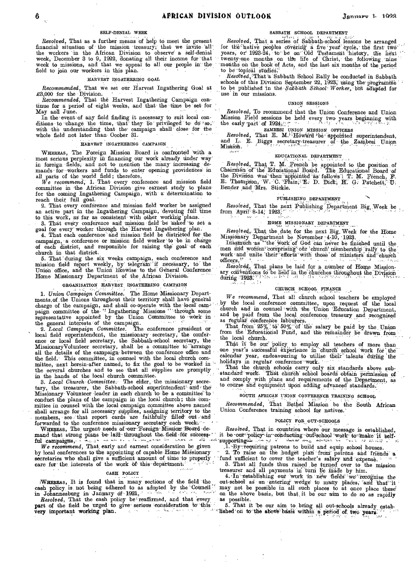#### SELF-DENIAL WEEK

Resolved, That as a further means of help to meet the present financial situation of the mission treasury, that we invite all the workers in the African Division to observe a self-denial week, December 3 to 9, 1922, donating all their income for that<br>week to missions, and that we appeal to all our people in the field to join our workers in this plan.

#### HARVEST INGATHERING GOAL

Recommended, That we set our Harvest Ingathering Goal at £3,000 for the Division.

Recommended, That the Harvest Ingathering Campaign continue for a period of eight weeks, and that the time be set for May and June.

In the event of any field finding it necessary to suit local conditions to change the time, that they be privileged to do 'so, with the understanding that the campaign shall close for the whole field not later than Ocober 31.

#### HARVEST INGATHERING CAMPAIGN

WHEREAS, The Foreign Mission Board is confronted with a most serious perplexity in financing our work already under way<br>in foreign fields, and not to mention the many increasing demands for workers and funds to enter opening providences in all parts of the world field; therefore,

We recommend, 1. That every conference and mission field<br>committee in the African Division give earnest study to plans for the coming Ingathering Campaign, with a determination to reach their full goal.

2. That every conference and mission field worker be assigned an active part in the Ingathering Campaign, devoting full time<br>to this work, as far as consistent with other working plans.<br>3. That every conference and mission field be asked to set a

goal for every worker through the Harvest Ingathering plan.<br>4. That each conference and mission field be districted for the

campaign, a conference or mission field worker to be in charge of each district, and responsible for raising the goal of each church in that district.

5. That during the six weeks campaign, each conference and mission field report weekly, by telegram if necessary, to the Union office, and the Union likewise to the General Conference Home Missionary Department of the African Division.

#### ORGANISATION HARVEST INGATHERING CAMPAIGN

1. Union Campaign Committee. The Home Missionary Departments of the Unions throughout their territory shall have general charge of the campaign, and shall co-operate with the local cam-<br>paign committee of the "Ingathering Missions" through some representative appointed by the Union Committee to work in the general interests of the campaign.<br>2. Local Campaign Committee. The conference president or

local field superintendent, the missionary secretary, the conference or local field secretary, the Sabbath-school secretary, the MissionaryVolunteer secretary, shall be a committee to arrange all the details of the campaign between the conference office and the field. This committee, in counsel with the local church committee, next herein-after named, to fix the goal to be worked in the several churches and to see that all supplies are promptly in the hands of the local church committee. The elder, the missionary secre-<br>3. Local Church Committee. The elder, the missionary secre-

tary, the treasurer, the Sabbath-school superintendent and the Missionary Volunteer leader in each church to be a committee to conduct the plans of the campaign in the local church; this committee in counsel with the local campaign committee above named minute in course, when the cost can be a signified to the members, see that report cards are faithfully filled out and forwarded to the conference missionary secretary each week.

WHEREAS, The urgent needs of our Foreign Mission Board demand that strong plans be laid throughout the field for success-سات<br>منابعهما ful campaigns, بالانتهاج للو

We recommend. That early and earnest consideration be given by local conferences to the appointing of capable Home Missionary secretaries who shall give a sufficient amount of time to properly care for the interests of the work of this department.

#### ${\bf CASH\quad \bf POLICY}$

WHEREAS, It is found that in many sections of the field the cash policy is not being adhered to as adopted by the Council in Johannesburg in January of 1921,

Resolved, That the cash policy be reaffirmed, and that every very important working plan. hen.  $\gamma_{\rm eff}$  and  $\gamma_{\rm eff}$ 

#### SABBATH SCHOOL DEPARTMENT

Resolved, That a series of Sabbath-school lessons be arranged section of the native peoples covering a five year cycle, the first two<br>years, or 1923-24, to be on Old Testament history, the hext<br>twenty-one months on the life of Christ, the following nine months on the book of Acts, and the last six months of the period to be topical studies.

Resolved, That a Sabbath School Rally be conducted in Sabbath schools of this Division September 22, 1923, using the programme to be published in the Sabbath School Worker, but adapted for use in our missions.

#### UNION SESSIONS

Resolved, To recommend that the Union Conference and Union Mission Field sessions be held every two years beginning with the early part of 1924.

#### ZAMBESI UNION MISSION OFFICERS

Resolved, That E. M. Howard be appointed superintendent, and L. E. Biggs secretary-treasurer of the Zambesi Union Mission.

#### EDUCATIONAL DEPARTMENT

Resolved, That T. M. French be appointed to the position of Chairman of the Educational Board. The Educational Board of the Division was then appointed as follows: T. M. French, F. E. Thompson, W. C. Flaiz, E. D. Dick, H. G. Patchett, U. Bender and Mrs. Stickle.

#### PUBLISHING DEPARTMENT

Resolved, That the next Publishing Department Big, Week be from April 8-14; 1923,  $\omega\omega\to$ Albert 19

#### HOME MISSIONARY DEPARTMENT

Resolved, That the date for the next Big Week for the Home Missionary Department be November 4-10, 1923.<br>Inasmuch as "the work of God can never be finished until the

men and women comprising our church membership rally to the work and unite their efforts with those of ministers and church officers,

Resolved, That plans be laid for a number of Home Missionary conventions to be held in the churches throughout the Division during 1923. Ta de live E

# CHURCH SCHOOL FINANCE

We recommend, That all church school teachers be employed by the local conference committee, upon request of the local church and in counsel with the Union Education Department, and be paid from the local conference treasury and recognised

as regular conference labourers. That from 25% to 50% of the salary be paid by the Union from the Educational Fund, and the remainder be drawn from the local church.

That it be our policy to employ all teachers of more than<br>one year's successful experience in church school work for the calendar year, endeavouring to utilise their talents during the holidays in regular conference work.

That the church schools carry only six standards above sub-<br>standard work. That church schools boards obtain permission of and comply with plans and requirements of the Department, as to course and equipment upon adding advanced standards.

#### SOUTH AFRICAN UNION CONFERENCE TRAINING SCHOOL

Recommended, That Bethel Mission be the South African Union Conference training school for natives.

#### POLICY FOR OUT-SCHOOLS

Resolved, That in countries where our message is established, it be our policy in conducting outselool work to make it belfwhere we wish was supporting to the year of

1. By requiring patrons to build and equip school houses.<br>2. To taise on the budget plan from patrons and friends a

fund sufficient to cover the teacher's salary and expense. 3. That all funds thus raised be turned over to the mission

treasurer and all payments in turn be made by him.

d. The establishing our work in new and the mediate of the out-school as an entering wedge to many places, and that it may not be possible in all such places to at once place these on the above basis, but that it be our ai as possible.

5. That it be our aim to bring all out-schools already estab-"lished on to the show basis within a period of two years.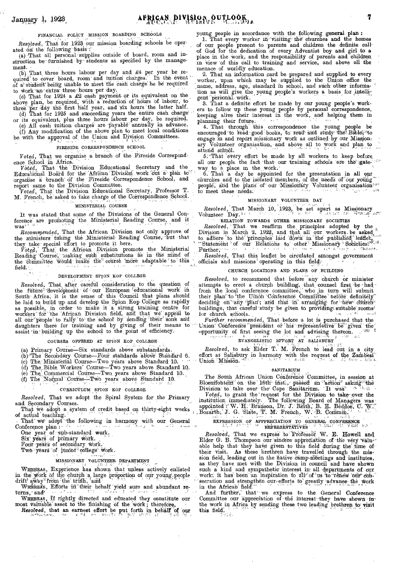## FINANCIAL POLICY MISSION BOARDING SCHOOLS

*Resolved*, That for 1923 our mission boarding schools be oper-

ated on the following basis: (a) That all personal supplies outside of board, room and instruction be furnished by students as specified by the management.

(b) That three hours labour per day and £4 per year be required to cover board, room and tuition charges. In the event of a student being unable to meet the cash charge he be required to work an extra three hours per day.

(c) That for 1924 a £2 cash payment or its equivalent on the above plan, be required, with a reduction of hours of labour, to

three per day the first half year, and six hours the latter half. (d) That for 1925 and succeeding years the entire cash Charge' or its equivalent, plus three hours labour per day, be required.

(e) All cash tuition charges are payable annually in advance.

(f) Any modification of the above plan to meet local conditions be with the approval of the Union and Division Committees.

#### FIRESIDE CORRESPONDENCE SCHOOL

*Voted,* That we organise a branch of the Fireside Correspond-

ence School in Africa.<br> *Voted*, That the Division Educational Secretary and the<br>
Educational Board for the African Division work out a plan to'<br>
organise a branch of the Fireside Correspondence School, and

report same to the Division Committee. *Voted,* That the Division Educational Secretary, Professor T. M. French, be asked to take charge of the Correspondence School.

#### MINISTERIAL COURSE

It was stated that some of the Divisions of the General Conference' are promoting 'the Ministerial Reading Course, and it  $\nabla$ as'

*Recommended,* That the African Division not only approve of the ministers faking the Ministerial' Reading Course, 'but that

they take special effort to promote it here.<br>Voted, That the African Division promote the Ministerial<br>Reading Course, naking such substitutions as in the mind of<br>the committee would make the course more adaptable to this राजेव

#### DEVELOPMENT SPION KOP COLLEGE

• *Resolved,* That. after careful consideration to the question of the future<sup>1</sup> development of our European educational work in South Africa; it is the sense of this Council that plans should be laid to build up and develop the Spion Kop College as rapidly as possible, in order to make it a strong training centre for workers`'for' 'the 'African Division field, and that we . appeal to all our people' to rally to the school' by sending their sons and daughters there for training and by giving of their means to assist in building up the school to the point of efficiency.

#### COURSES OFFERED AT SPION HOP COLLEGE

(a) Primary Course—Six standards above substandards.<br>
(b) The Secondary Course—Four standards above Standard 6.<br>
(c) The Ministerial Course—Two years above Standard 10.

(e) The Commercial Course—Two years above Standard 10.

(f) The Normal Course-Two years above Standard 10.

#### CURRICULUM SPION HOP COLLEGE

*Re-solved,* That we adopt the Spiral System for ,the Primary and Secondary Courses.

That we adopt a system of credit based on thirty-eight weeks of actual teaching.

That we adopt the following in harmony with our General Conference plan :

One year of sub-standard work.<br>Six years of primary work.<br>Four years of secondary work.<br>Two years of junior college work.

#### MISSIONARY VOLUNTEER DEPARTMENT

WHEREAS, Experience has shown that unless actively enlisted in the work of the church a large proportion of our young people drift' away from the truth, 'and

WHEREAS, Efforts in their behalf yield sure and abundant re $turns, 'and'$  -  $\cdots$   $\cdots$ 

WHEREAS, If rightly directed and educated they constitute our most valuable asset to the finishing of the work; therefore,<br>Resolved, that an earnest effort be put forth in behalf of our<br>most with the put in the put in the

young people in accordance with the following general plan :<br>1. That every worker in visiting the churches and the homes of our people present to parents and children the definite call-of God for the dedication of every Adventist boy and girl to a place in the work, and the responsibility of parents and children in view of this call to training and service, and above all the menace of worldly education.

2. That an information .card be prepared and supplied to every worker, upon which may be supplied -to the Union office the name, address, age, standard in school, and such other information as will give the, young people's workers a basis for gent "personal, work. 3. That a definite effort be made by our young people's work-

ers to follow up these young people by personal correspondence, keeping alive their interest in the work, and helping them in

planning their future.<br>4. That through this correspondence the young people be<br>encouraged to read good books, to read and study the Bible, to<br>engage in and report missionary work as outlined by our Mission ary Volunteer organisation, and above all to work and plan to attend selfool. attend school. The made by all workers to keep before,

all our people the fact that our training schools are the gate-

way to a place in the work.<br>
6. That a day be appointed for the presentation in all our churches and to the isolated members, of the needs of our young people; and to the botated members, or the needs of our young<br>people; and the plans of our Missionary Volunteer organisation<sup>136</sup><br>to meet these needs.

#### MISSIONARY VOLUNTEER DAY

*Resolved,* That March 10, 1923, be set apart as Missionary Volunteer Day. '

'RELATION TOWARDS OTHER MISSIONARY SOCIETIES *Resolved,* That we reaffirm the, principles adopted by the Division in March 2, 1922, and that all our workers be asked by a direct to the published to adhere to the published in "Statement of our Relations to other' Missionary Sobieties."

*Resolved, That this leaflet be circulated amongst government* officials and missions' operating in this field.

#### CHURCH LOCATIONS AND PLANS OF BUILDING

*Resolved,* to recommend that before any church or minister attempts to erect a church building, that counsel first be had from the local conference committee, who in turn will submit their plan to the Umon Conference Committee before definitely deciding on any plan ; and that in a buildings, that careful study be given to providing suitable rooms' for church schools.

Further recommended, That before a lot is purchased that the Further recommended, That before a lot is purchased that the Union Conference president or his representative be<sup>\*</sup> given the opportunity of first seeing the lot and advising thereon.

# EVANGELISTIC EFFORT AT SALISBURY

*Resolved,* to ask Elder T. M. French to lead out in a city effort at Salisbury in harmony with the request of the Zambesi' Union ;\*Mission. ,:•

#### SANITARIUM

The South African Union Conference Committee, in session at Bloemffontend" on the 16th inst., passed an "action" asking "the Division' to take over the Cape Sanitarian. It was  $\sim$  take

Voted, to grant the request for the Division to take over the institution immediately. The following Board of Managers was appointed : W. H. Branson, Dr. J. Reith, B. E. Beddoe, C. W. Bozarth, J. G. Slate, T. M. French, W.

EXPRESSION OF APPPRECIATION TO GENERAL CONFERENCE  $\frac{1}{2}$  and  $\frac{1}{2}$  representatives  $\frac{1}{2}$  and  $\frac{1}{2}$  and  $\frac{1}{2}$ 

*Resolved*, That we express to Professor W. E. Howell and Elder G. B. Thompson our sincere appreciation of the very valuable help that they have given to this field during the time of their visit. As these brethren have travelled through the mission field, leading out in the hative camp-meetings and institutes, as they have met with the Division in council and have shown such a kind and sympathetic interest in all departments of our work; it has been an inspiration to all of us to renew our conwork, it has been an inspiration to all of us to renew our con-<br>secration and strengthen our efforts to greatly advance the work secration and strengthen our efforts to greatly advance<br>in the African field.

And further, that we express to the General Conference Committee our appreciation of the interest they have shown inthe work in Africa by sending these two leading brethren to visit the working  $\text{field}$ .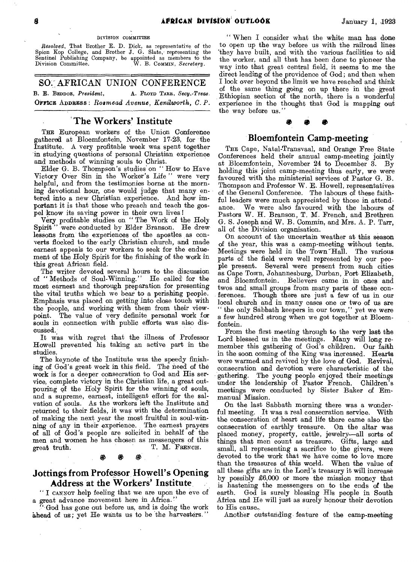#### DIVISION COMMITTEE

*Resolved*, That Brother E. D. Dick, as representative of the Spion Kop College, and Brother J. G. Slate, representing the Sentinel Publishing Company, be appointed as members to the Division Committee.  $\breve{W}$ . B. COMMIN, *Secretary*.

## **SO. AFRICAN UNION CONFERENCE**

B. E. BEDDOE, *President,* A. FLOYD TARR, *Secy.-Treas.*  OFFICE ADDRESS : *Rosmead Avenue, Kenilworth, C. P.* 

## **The Workers' Institute**

THE European workers of the Union Conference gathered at Bloemfontein, November 17-23, for the Institute. A very profitable week was spent together in studying questions of personal Christian experience and methods of winning souls to Christ.

Elder G. B. Thompson's studies on "How to Have Victory Over Sin in the Worker's Life " were very helpful, and from the testimonies borne at the morning devotional hour, one would judge that many entered into a new Christian experience. And how important it is that those who preach and teach the gospel know its saving power in their own lives !

Very profitable studies on " The Work of the Holy Spirit" were conducted by Elder Branson. He drew lessons from the experiences of the apostles as converts flocked to the early Christian church, and made earnest appeals to our workers to seek for the enduement of the Holy Spirit for the finishing of the work in this great African field.

The writer devoted several hours to the discussion of " Methods of Soul-Winning." He called for the most earnest and thorough preparation for presenting the vital truths which we bear to a perishing people. Emphasis was placed on getting .into close touch with the people, and working with them from their viewpoint. The value of very definite personal work for souls in connection with public efforts was also discussed.

It was with regret that the illness of Professor Howell prevented his taking an active part in the studies.

The keynote of the Institute was the speedy finishing of God's great work in this field. The need of the work is for a deeper consecration to God and His service, complete victory in the Christian life, a great outpouring of the Holy Spirit for the winning of souls, and a supreme, earnest, intelligent effort for the salvation of souls. As the workers left the Institute and returned to their fields, it was with the determination of making the next year the most fruitful in soul-winning of any in their experience. The earnest prayers of all of God's people are solicited in behalf of the men and women he has chosen as messengers of this great truth. T. M. FRENCH.

> 8 80

# **Jottings from Professor Howell's Opening Address at the Workers' Institute**.

**"** I CANNOT help feeling that we are upon the eve of a great advance movement here in Africa."

God has gone out before us, and is doing the work ahead of us; yet He wants us to be the harvesters.'

" When I consider what the white man has done to open up the way before us with the railroad lines 'they have built, and with the various facilities to aid the worker, and all that has been done to pioneer the way into that great central field, it seems to me the direct leading of the providence of God; and then when I look over beyond the limit we have reached and think of the same thing going on up there in the great Ethiopian section of the north, there is a wonderful experience in the thought that God is mapping out the way before us."

# 0 0 0

## **Bloemfontein Camp-meeting**

THE Cape, Natal-Transvaal, and Orange Free State Conferences held their annual camp-meeting jointly at Bloemfontein, November 24 to December 3. By holding this joint camp-meeting thus early, we were favoured with the ministerial services of Pastor G. B. Thompson and Professor W. E. Howell, representatives of the General Conference. The labours of these faithful leaders were much appreciated by those in attend-<br>ance. We were also favoured with the labours of We were also favoured with the labours of Pastors W. H. Branson, T. M. French, and Brethren G. S. Joseph and W. B. Commin, and Mrs. A. P. Tarr, all of the Division organisation.

On account of the uncertain weather at this season of the year, this was a camp-meeting without tents. Meetings were held in the Town "Hall. The various parts of the field were well represented by our people present. Several were present from such cities as Cape Town, Johannesburg, Durban, Port- Elizabeth, and Bloemfontein. Believers came in in ones and twos and small groups from many parts of these conferences. Though there are just a few of us in our local church and in many cases one or two of us are the only Sabbath keepers in our town," yet we were a few hundred strong when we got together at Bloemfontein.

From the first meeting through to the very last the Lord blessed us in the meetings. Many will long remember this gathering of God's children. Our faith in the soon coming of the King was increased. Hearts were warmed and revived by the love of God. Revival, consecration and devotion were characteristic of the gathering. The young people enjoyed their meetings under the leadership of Pastor French. Children's meetings were conducted by Sister Baker of Emmanual Mission.

On the last Sabbath morning there was a wonderful meeting. It was a real consecration service. With the consecration of heart and life there came also the consecration of earthly treasure. On the altar was placed money, property, cattle, jewelry—all sorts of things that men count as treasure. Gifts, large and small, all representing a sacrifice to the givers, were devoted to the work that we have come to love more than the treasures of this world. When the value of all these gifts are in the Lord's treasury it will increase by possibly £6,000 or more the mission money that is hastening the messengers on to the ends of the earth. God is surely blessing His people in South God is surely blessing His people in South Africa and He will just as surely honour their devotion to His cause.

Another outstanding feature of the camp-meeting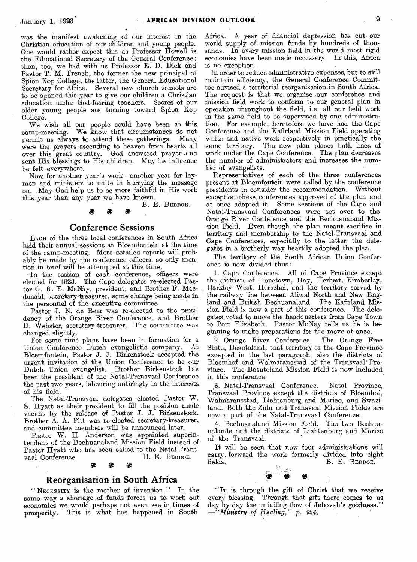was the manifest awakening of our interest in the Christian education of our children and young people. One would rather expect this as Professor Howell is the Educational Secretary of the General Conference; then, too, we had with us Professor E. D. Dick and Pastor T. M. French, the former the new principal of Spion Kop College, the latter, the General Educational Secretary for Africa. Several new church schools are to be opened this year to give our children a Christian education under God-fearing teachers. Scores of our older young people are turning toward Spion Kop College.

We wish all our people could have been at this camp-meeting. We know that circumstances do not permit us always to attend these gatherings. Many were the prayers ascending to heaven from hearts all over this great country. God answered prayer -and sent His blessings to His children. May its influence be felt everywhere.

Now for another year's work—another year for laymen and ministers to unite in hurrying the message on. May God help us to be more faithful in His work this year than any year we have known.

B. E. BEDDOE.

#### **Conference Sessions**

EACH of the three local conferences in South Africa held their annual sessions at Bloemfontein at the time of the camp-meeting. More detailed reports will probably be made by the conference officers, so only mention in brief will be attempted at this time.

In the session of each conference, officers were elected for 1923. The Cape delegates re-elected Pastor G. R. E. McNày, president, and Brother F. Macdonald, secretary-treasurer, some change being made in the personnel of the executive committee.

Pastor J. N. de Beer was re-elected to the presidency of the Orange River Conference, and Brother D. Webster, secretary-treasurer. The committee was changed slightly.

For some time plans have been in formation for a<br>nion Conference Dutch evangelistic company. At Union Conference Dutch evangelistic company. Bloemfontein, Pastor J. J. Birkenstock accepted the urgent invitation of the Union Conference to be our Brother Birkenstock has been the president of the Natal-Transvaal Conference the past two years, labouring untiringly in the interests of his field.

The Natal-Transvaal delegates elected Pastor W. S. Hyatt as their president to fill the position made vacant by the release of Pastor J. J. Birkenstock. Brother A. A. Pitt was re-elected secretary-treasurer, and committee members will be announced later.

Pastor W. H. Anderson was appointed superintendent of the Bechuanaland Mission Field instead of Pastor Hyatt who has been called to the Natal-Trans-<br>vaal Conference. B. E. BEDDOE. vaal Conference.

# **Reorganisation in South Africa**

" NECESSITY is the mother of invention." In the same way a shortage of funds forces us to work out economies we would perhaps not even see in times of prosperity. This is what has happened in South

Africa. A year of financial depression has cut our world supply of mission funds by hundreds of thousands. In every mission field in the world most rigid economies have been made necessary. In this, Africa is no exception.

In order to reduce administrative expenses, but to still maintain' efficiency, the General Conference Committee advised a territorial reorganisation in South Africa. The request is that we organise our conference and mission field work to conform to our general plan in operation throughout the field, i.e. all our field work in the same field to be supervised by one administration. For example, heretofore we have had the Cape Conference and the Kafirland Mission Field operating white and native work respectively in practically the same territory. The new plan places both lines of work under the Cape Conference. The plan decreases the number of administrators and increases the number of evangelists.

Representatives of each of the three conferences present at Bloemfontein were called by the conference presidents to consider the recommendation. Without exception these conferences approved of the plan and at once adopted it. Some sections of the Cape and Natal-Transvaal Conferences were set over to the Orange River Conference and the Bechuanaland Mission Field. Even though the plan meant sacrifice in territory and membership to the Natal-Transvaal and Cape Conferences, especially to the, latter, the delegates in a brotherly way heartily adopted the plan.

The territory of the South African Union Conference is now divided thus :

1. Cape Conference. All of Cape Province except the districts of Hopetown, Hay, Herbert, Kimberley, Barkley West, Herschel, and the territory served by the railway line between Aliwal North and New England and British Bechuanaland. The Kafirland Mission Field is now a part of this conference. The delegates voted to move the headquarters from Cape Town to Port Elizabeth. Pastor McNay tells us he is beginning to make preparations for the move at once.

2. Orange River Conference. The Orange Free State, Basutoland, that territory of the Cape Province excepted in the last paragraph, also the districts of Bloemhof and Wolmaransstad of the Transvaal` Province. The Basutoland Mission Field is now included in this conference.

,3. Natal-Transvaal Conference. Natal Province, Transvaal Province except the districts of Bloemhof, Wolmaransstad, Lichtenburg and Marico, and Swaziland. Both the Zulu and Transvaal Mission Fields are now a part of the Natal-Transvaal Conference.

4. Bechuanaland Mission Field. The two Bechuanalands and the districts of Lichtenburg and Marico of the Transvaal.

It will be seen that now four administrations will carry. forward the work formerly divided into eight B. E. BEDDOE.



"IT is through the gift of Christ that we receive every blessing. Through that gift there comes to us day by day the unfailing flow of Jehovah's goodness." *—` `Ministry of fleoling," p. 424.*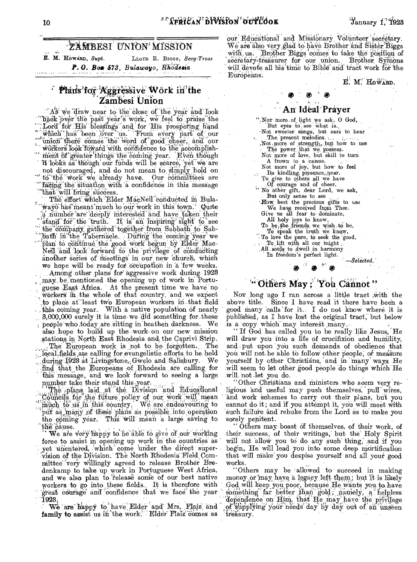# **ZAMBESI UNION MISSION**

E. M. HOWARD, Supt. LLOYD E. BIGGS, Secy-Treas P.O. Bos 573, Bulawayo, Rhodesia وللأنا الموجعات والأنا

# Plans' for Aggressive Work in the Zambesi Union

"A's we draw near to the close of the year and look "back over the past year's work, we feel to praise the Lord for His blessings and for His prospering hand<br>which has been over us. From every part of our ""union there comes the word of good cheer, and our workers look foward with confidence to the accomplishment of greater things the coming year. Even though it looks as though our funds will be scarce, yet we are not discouraged, and do not mean to simply hold on " to the work we already have. Our committees are facing the situation with a confidence in this message "that will bring success.

The effort which Elder MacNeil conducted in Bulawayo has meant much to our work in this town. Quite way has meant much to our work in this town. Quite<br>a number are deeply interested and have taken their<br>stand for the truth. It is an inspiring sight to see<br>the company gathered together from Sabbath to Sab-<br>bath in the Tab Neil and look forward to the privilege of conducting<br>another series of meetings in our new church, which we hope will be ready for occupation in a few weeks. Among other plans for aggressive work during 1923 may be mentioned the opening up of work in Portuguese East Africa. At the present time we have no workers in the whole of that country, and we expect to place at least two European workers in that field this coming year. With a native population of nearly  $3,000,000$  surely it is time we did something for these people who today are sitting in heathen darkness. We also hope to build up the work on our new mission stations in North East Rhodesia and the Caprivi Strip. The European work is not to be forgotten. The local fields are calling for evangelistic efforts to be held during 1923 at Livingstone, Gwelo and Salisbury. We find that the Europeans of Rhodesia are calling for this message, and we look forward to seeing a large

mus message, and we not notward to seeing a large<br>musher take their stand this year.<br>The plans laid at the Division and Educational<br>much to us in the future policy of our work will mean<br>much to us in this country. We are e the coming year. This will mean a large saving to the coming year. This will mean a large saving to

We are very happy to be able to give of our working force to assist in opening up work in the countries as yet unentered, which come under the direct supervision of the Division. The North Rhodesia Field Committee very willingly agreed to release Brother Bredenkamp to take up work in Portuguese West Africa, and we also plan to release some of our best native workers to go into these fields. It is therefore with great courage and confidence that we face the year 1923.

We are happy to have Elder and Mrs. Flaiz and family to assist us in the work. Elder Flaiz comes as

our Educational and Missionary Volunteer secretary. We are also very glad to have Brother and Sister Biggs with us. Brother Biggs comes to take the position of<br>secretary-treasurer for our union. Brother Symons<br>will devote all his time to Bible and tract work for the Europeans.

# E. M. HowARD.

# An Ideal Prayer

'Nor more of light we ask, O God, But eyes to see what is. Not sweeter songs, but ears to hear The present melodies. Not more of strength, but how to use Not more of love, but skill to turn A frown to a caress. Not more of joy, but how to feel The kindling presence, near.<br>The kindling presence, near.<br>To give to others all we have<br>Of courage and of cheer.<br>No other gift, dear Lord, we ask, But only sense to see<br>How, best the precious gifts to use We have received from Thee.<br>Give us all fear to dominate, All holy joys to know,<br>To be, the friends we wish to be,<br>To speak the truth we know, To love the pure, to seek the good,<br>To lift with all our might All souls to dwell in harmony In freedom's perfect light.  $-\mathcal{S}elected$  .

# "Others May; 'You Cannot"

Nor long ago I ran across a little tract with the above title. Since I have read it there have been a good many calls for it. I do not know where it is published, as I have lost the original tract, but below is a copy which may interest many.

"If God has called you to be really like Jesus, He will draw you into a life of crucifixion and humility, and put upon you such demands of obedience that you will not be able to follow other people, or measure yourself by other Christians, and in many ways He will seem to let other good people do things which He will, not let you do.

Other Christians and ministers who seem very religious and useful may push themselves, pull wires, and work schemes to carry out their plans, but you cannot do it; and if you attempt it, you will meet with such failure and rebuke from the Lord as to make you sorely penitent.

"Others may boast of themselves, of their work, of their success, of their writings, but the Holy Spirit will not allow you to do any such thing, and if you begin. He will lead you into some deep mortification that will make you despise yourself and all your good works.

"Others may be allowed to succeed in making" money or may have a legacy left them; but it is likely God will keep you poor, because He wants you to have something far better than gold; namely, a helpless dependence on Him, that He may have the privilege of supplying your needs day by day out of an unseen treasury.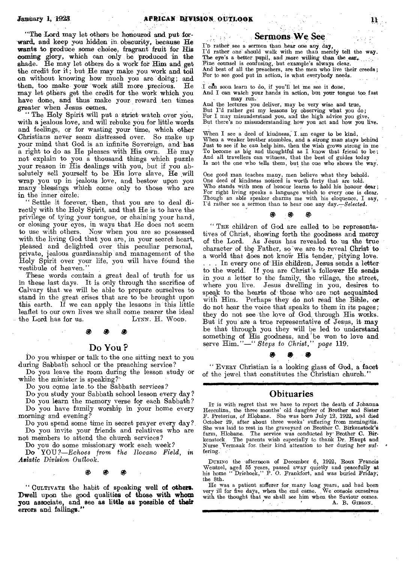"The Lord may let others be honoured and put forward, and keep you hidden in obscurity, because He wants to produce some choice, fragrant fruit for His coming glory, which can only be produced in the shade. He may let others do a work for Him and get the credit for it; but He may make you work and toil on without knowing how much you are doing; and then, too make your work still more precious. He may let others get the credit for the work which you have done, and thus make your reward ten times greater when Jesus comes.

" The Holy Spirit will put a strict watch over you, with a jealous love, and will rebuke you for little words and feelings, or for wasting your time, which other Christians never seem distressed over. So make up your mind that God is an infinite Sovereign, and has a right to do as He pleases with His own. He may not explain to you a thousand things which puzzle your reason in His dealings with you, but if you absolutely sell yourself to be His love slave, He will wrap you up in jealous love, and bestow upon you many blessings which come only to those who are in the inner circle.

" Settle it forever, then, that you are to deal directly with the Holy Spirit, and that He is to have the privilege of tying your tongue, or chaining your hand, or closing your eyes, in ways that He does not seem to use with others. Now when you are so possessed with, the living God that you are, in your secret heart, pleased and delighted over this peculiar personal, private, jealous guardianship and management of the Holy Spirit over your life, you will have found the vestibule of heaven.'

These words contain a great deal of truth for us in these last days. It is only through the sacrifice of Calvary that we will be able to prepare ourselves to stand in the great crises that are to be brought upon this earth. If we can apply the lessons in this little leaflet to our own lives we shall come nearer the ideal<br>the Lord has for us. LYNN. H. Woop. the Lord has for us.

# 0 0

#### **Do You ?**

Do you whisper or talk to the one sitting next to you during Sabbath school or the preaching service?

Do you leave the room during the lesson study or while the minister is speaking?

Do you come late to the Sabbath services?

Do you study your Sabbath school lesson every day?

Do you learn the memory verse for each Sabbath? Do you have family worship in your home every morning and evening?

Do you spend some time in secret prayer every day? Do you invite your friends and relatives who are not members to attend the church services?

Do you do some missionary work each week?

**Do** *YOU?—Echoes from the Ilocano Field, in Asiatic Division Outlook.* 

> ⊛ æ

" CULTIVATE the habit of speaking well **of others. Dwell upon the good qualities of those with whom you associate, and see as little as possible of their errors** and **failings."** 

#### **Sermons,We See**

I'n rather see a sermon than hear one any day, I'd rather one should walk with me than merely tell the way. The eye's a better pupil, and more willing than the ear. Fine counsel is confusing, but example's always clear. And best of all the preachers, are the men who live their creeds; For to see good put in action, is what everybody needs.

I can soon learn to do, if you'll let me see it done, And I can watch your hands in action, but your tongue too fast may run.

And the lectures you deliver, may be very wise and true, But I'd rather get my lessons by observing what you do; For I may misunderstand you, and the high advice you give, But there's no misunderstanding how you act and how you live.

When I see a deed of kindness,  $I$  am eager to be kind, When a weaker brother stumbles, and a strong man stays behind Just to see if he can help him, then the wish grows strong in me To become as big and thoughtful as I know that friend to be; And all travellers can witness, that the best of guides today Is not the one who tells them, but the one who shows the way.

One good man teaches many, men believe what they behold. One deed of kindness noticed is worth forty that are told. Who stands with men of honour learns to hold his honour dear ; For right living speaks a language which to every one is clear. Though an able speaker charms me with his eloquence, I say, I'd rather see a sermon than to hear one any *day.-7-Selected.* 

ക

" THE children of God are called to be representatives of Christ, showing forth the goodness and mercy of the Lord. As Jesus has revealed to us the true character of the Father, so "we are to reveal Christ to a world that does not know His tender, pitying love. . . . In every one of His children, Jesus sends a letter to the world. If you are Christ's follower He sends in you a letter to the family, the village, the street, where you live. Jesus dwelling in you, desires to speak to the hearts of those who are not acquainted with Him. Perhaps' they do not read' the Bible, **or**  do not hear the voice that speaks to them in its pages; they do not see the love of God, through His works. But if you are a true representative of Jesus, it may be that through you they will be led to understand something of His goodness, and be won to love and serve Him."—" *Steps to Christ,*" *page* 119.<br> **8 0** 

" EVERY Christian is a looking glass of God, a facet of the jewel that constitutes the Christian church."

#### **Obituaries**

**IT is** with regret that we have to report the death of Johanna Herculina, the three months' old daughter of Brother and Sister F. Pretorius, of Hlobane. She was born July 12, 1922, and died October 29, after about three weeks' suffering from meningitis. She was laid to rest in the graveyard on Brother C. Birkenstock's farm, Hlobane. The service was conducted by Brother C. Bir-<br>kenstock. The parents wish especially to thank Dr. Haupt and The parents wish especially to thank Dr. Haupt and Nurse Vermaak for their kind attention to her during her *suf*fering.

DURING the 'afternoon of December 6, 1922, Roux Francis Wentzel, aged 55 years, passed away quietly and 'peacefully *at*  his home " Driehoek," P. 0. Frankfort, and was buried Friday; the 8th.

He was a patient sufferer for many long years, and had been very ill for five days, when the end came. We console ourselves very ill for five days, when the end came. We console ourselves with the thought that we shall see him when the Saviour comes. A. B. GIBSON.